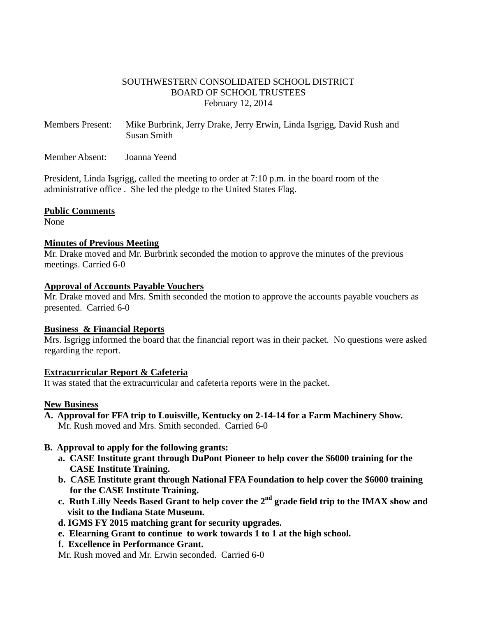### SOUTHWESTERN CONSOLIDATED SCHOOL DISTRICT BOARD OF SCHOOL TRUSTEES February 12, 2014

Members Present: Mike Burbrink, Jerry Drake, Jerry Erwin, Linda Isgrigg, David Rush and Susan Smith

Member Absent: Joanna Yeend

President, Linda Isgrigg, called the meeting to order at 7:10 p.m. in the board room of the administrative office . She led the pledge to the United States Flag.

#### **Public Comments**

None

### **Minutes of Previous Meeting**

Mr. Drake moved and Mr. Burbrink seconded the motion to approve the minutes of the previous meetings. Carried 6-0

#### **Approval of Accounts Payable Vouchers**

Mr. Drake moved and Mrs. Smith seconded the motion to approve the accounts payable vouchers as presented. Carried 6-0

### **Business & Financial Reports**

Mrs. Isgrigg informed the board that the financial report was in their packet. No questions were asked regarding the report.

### **Extracurricular Report & Cafeteria**

It was stated that the extracurricular and cafeteria reports were in the packet.

### **New Business**

**A. Approval for FFA trip to Louisville, Kentucky on 2-14-14 for a Farm Machinery Show.**  Mr. Rush moved and Mrs. Smith seconded. Carried 6-0

### **B. Approval to apply for the following grants:**

- **a. CASE Institute grant through DuPont Pioneer to help cover the \$6000 training for the CASE Institute Training.**
- **b. CASE Institute grant through National FFA Foundation to help cover the \$6000 training for the CASE Institute Training.**
- **c. Ruth Lilly Needs Based Grant to help cover the 2 nd grade field trip to the IMAX show and visit to the Indiana State Museum.** 
	- **d. IGMS FY 2015 matching grant for security upgrades.**
	- **e. Elearning Grant to continue to work towards 1 to 1 at the high school.**
	- **f. Excellence in Performance Grant.**

Mr. Rush moved and Mr. Erwin seconded. Carried 6-0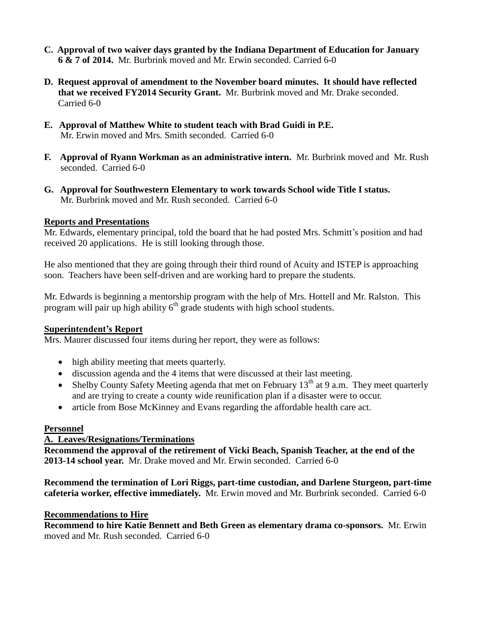- **C. Approval of two waiver days granted by the Indiana Department of Education for January 6 & 7 of 2014.** Mr. Burbrink moved and Mr. Erwin seconded. Carried 6-0
- **D. Request approval of amendment to the November board minutes. It should have reflected that we received FY2014 Security Grant.** Mr. Burbrink moved and Mr. Drake seconded. Carried 6-0
- **E. Approval of Matthew White to student teach with Brad Guidi in P.E.** Mr. Erwin moved and Mrs. Smith seconded. Carried 6-0
- **F. Approval of Ryann Workman as an administrative intern.** Mr. Burbrink moved and Mr. Rush seconded. Carried 6-0
- **G. Approval for Southwestern Elementary to work towards School wide Title I status.** Mr. Burbrink moved and Mr. Rush seconded. Carried 6-0

## **Reports and Presentations**

Mr. Edwards, elementary principal, told the board that he had posted Mrs. Schmitt's position and had received 20 applications. He is still looking through those.

He also mentioned that they are going through their third round of Acuity and ISTEP is approaching soon. Teachers have been self-driven and are working hard to prepare the students.

Mr. Edwards is beginning a mentorship program with the help of Mrs. Hottell and Mr. Ralston. This program will pair up high ability  $6<sup>th</sup>$  grade students with high school students.

# **Superintendent's Report**

Mrs. Maurer discussed four items during her report, they were as follows:

- high ability meeting that meets quarterly.
- discussion agenda and the 4 items that were discussed at their last meeting.
- Shelby County Safety Meeting agenda that met on February  $13<sup>th</sup>$  at 9 a.m. They meet quarterly and are trying to create a county wide reunification plan if a disaster were to occur.
- article from Bose McKinney and Evans regarding the affordable health care act.

### **Personnel**

# **A. Leaves/Resignations/Terminations**

**Recommend the approval of the retirement of Vicki Beach, Spanish Teacher, at the end of the 2013-14 school year.** Mr. Drake moved and Mr. Erwin seconded. Carried 6-0

**Recommend the termination of Lori Riggs, part-time custodian, and Darlene Sturgeon, part-time cafeteria worker, effective immediately.** Mr. Erwin moved and Mr. Burbrink seconded. Carried 6-0

### **Recommendations to Hire**

**Recommend to hire Katie Bennett and Beth Green as elementary drama co-sponsors.** Mr. Erwin moved and Mr. Rush seconded. Carried 6-0